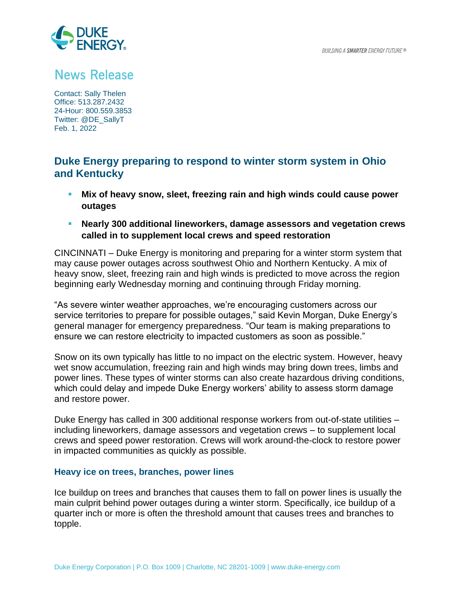

# **News Release**

Contact: Sally Thelen Office: 513.287.2432 24-Hour: 800.559.3853 Twitter: @DE\_SallyT Feb. 1, 2022

## **Duke Energy preparing to respond to winter storm system in Ohio and Kentucky**

- **Mix of heavy snow, sleet, freezing rain and high winds could cause power outages**
- **Nearly 300 additional lineworkers, damage assessors and vegetation crews called in to supplement local crews and speed restoration**

CINCINNATI – Duke Energy is monitoring and preparing for a winter storm system that may cause power outages across southwest Ohio and Northern Kentucky. A mix of heavy snow, sleet, freezing rain and high winds is predicted to move across the region beginning early Wednesday morning and continuing through Friday morning.

"As severe winter weather approaches, we're encouraging customers across our service territories to prepare for possible outages," said Kevin Morgan, Duke Energy's general manager for emergency preparedness. "Our team is making preparations to ensure we can restore electricity to impacted customers as soon as possible."

Snow on its own typically has little to no impact on the electric system. However, heavy wet snow accumulation, freezing rain and high winds may bring down trees, limbs and power lines. These types of winter storms can also create hazardous driving conditions, which could delay and impede Duke Energy workers' ability to assess storm damage and restore power.

Duke Energy has called in 300 additional response workers from out-of-state utilities – including lineworkers, damage assessors and vegetation crews – to supplement local crews and speed power restoration. Crews will work around-the-clock to restore power in impacted communities as quickly as possible.

### **Heavy ice on trees, branches, power lines**

Ice buildup on trees and branches that causes them to fall on power lines is usually the main culprit behind power outages during a winter storm. Specifically, ice buildup of a quarter inch or more is often the threshold amount that causes trees and branches to topple.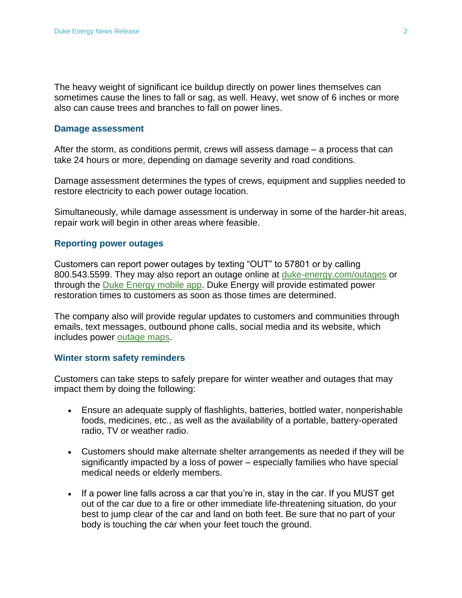The heavy weight of significant ice buildup directly on power lines themselves can sometimes cause the lines to fall or sag, as well. Heavy, wet snow of 6 inches or more also can cause trees and branches to fall on power lines.

#### **Damage assessment**

After the storm, as conditions permit, crews will assess damage – a process that can take 24 hours or more, depending on damage severity and road conditions.

Damage assessment determines the types of crews, equipment and supplies needed to restore electricity to each power outage location.

Simultaneously, while damage assessment is underway in some of the harder-hit areas, repair work will begin in other areas where feasible.

#### **Reporting power outages**

Customers can report power outages by texting "OUT" to 57801 or by calling 800.543.5599. They may also report an outage online at [duke-energy.com/outages](http://www.duke-energy.com/outages) or through the [Duke Energy mobile app.](https://www.duke-energy.com/Home/Products/Duke%20Energy%20App?utm_source=SilverpopMailing&utm_medium=email&utm_campaign=stor_mlk-storm-prep_2022-jan_3340_res_decnc%20(1)&utm_content=&utm_id=1213510430%20&spMailingID=20010714&spUserID=MTkzNTM1NjUwODIzS0&spJobID=2280946397&spReportId=MjI4MDk0NjM5NwS2) Duke Energy will provide estimated power restoration times to customers as soon as those times are determined.

The company also will provide regular updates to customers and communities through emails, text messages, outbound phone calls, social media and its website, which includes power [outage maps](http://www.duke-energy.com/outages/current-outages).

#### **Winter storm safety reminders**

Customers can take steps to safely prepare for winter weather and outages that may impact them by doing the following:

- Ensure an adequate supply of flashlights, batteries, bottled water, nonperishable foods, medicines, etc., as well as the availability of a portable, battery-operated radio, TV or weather radio.
- Customers should make alternate shelter arrangements as needed if they will be significantly impacted by a loss of power – especially families who have special medical needs or elderly members.
- If a power line falls across a car that you're in, stay in the car. If you MUST get out of the car due to a fire or other immediate life-threatening situation, do your best to jump clear of the car and land on both feet. Be sure that no part of your body is touching the car when your feet touch the ground.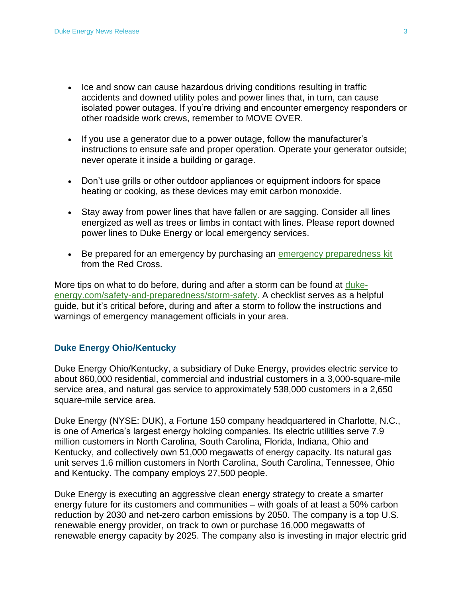- Ice and snow can cause hazardous driving conditions resulting in traffic accidents and downed utility poles and power lines that, in turn, can cause isolated power outages. If you're driving and encounter emergency responders or other roadside work crews, remember to MOVE OVER.
- If you use a generator due to a power outage, follow the manufacturer's instructions to ensure safe and proper operation. Operate your generator outside; never operate it inside a building or garage.
- Don't use grills or other outdoor appliances or equipment indoors for space heating or cooking, as these devices may emit carbon monoxide.
- Stay away from power lines that have fallen or are sagging. Consider all lines energized as well as trees or limbs in contact with lines. Please report downed power lines to Duke Energy or local emergency services.
- Be prepared for an emergency by purchasing an [emergency preparedness kit](https://www.redcross.org/store/preparedness) from the Red Cross.

More tips on what to do before, during and after a storm can be found at [duke](https://www.duke-energy.com/safety-and-preparedness/storm-safety)[energy.com/safety-and-preparedness/storm-safety.](https://www.duke-energy.com/safety-and-preparedness/storm-safety) A checklist serves as a helpful guide, but it's critical before, during and after a storm to follow the instructions and warnings of emergency management officials in your area.

#### **Duke Energy Ohio/Kentucky**

Duke Energy Ohio/Kentucky, a subsidiary of Duke Energy, provides electric service to about 860,000 residential, commercial and industrial customers in a 3,000-square-mile service area, and natural gas service to approximately 538,000 customers in a 2,650 square-mile service area.

Duke Energy (NYSE: DUK), a Fortune 150 company headquartered in Charlotte, N.C., is one of America's largest energy holding companies. Its electric utilities serve 7.9 million customers in North Carolina, South Carolina, Florida, Indiana, Ohio and Kentucky, and collectively own 51,000 megawatts of energy capacity. Its natural gas unit serves 1.6 million customers in North Carolina, South Carolina, Tennessee, Ohio and Kentucky. The company employs 27,500 people.

Duke Energy is executing an aggressive clean energy strategy to create a smarter energy future for its customers and communities – with goals of at least a 50% carbon reduction by 2030 and net-zero carbon emissions by 2050. The company is a top U.S. renewable energy provider, on track to own or purchase 16,000 megawatts of renewable energy capacity by 2025. The company also is investing in major electric grid